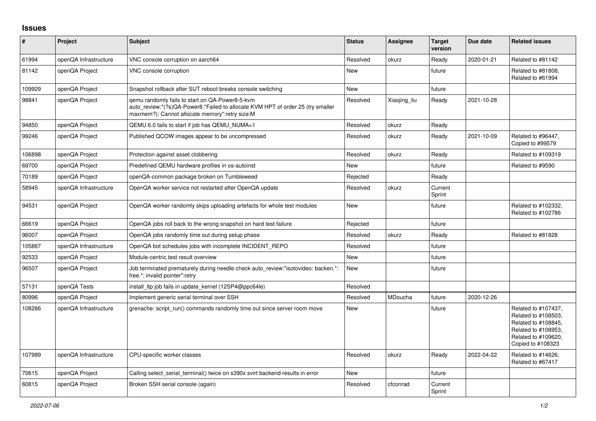## **Issues**

| #      | Project               | Subject                                                                                                                                                                              | <b>Status</b> | Assignee     | <b>Target</b><br>version | Due date   | <b>Related issues</b>                                                                                                                |
|--------|-----------------------|--------------------------------------------------------------------------------------------------------------------------------------------------------------------------------------|---------------|--------------|--------------------------|------------|--------------------------------------------------------------------------------------------------------------------------------------|
| 61994  | openQA Infrastructure | VNC console corruption on aarch64                                                                                                                                                    | Resolved      | okurz        | Ready                    | 2020-01-21 | Related to #81142                                                                                                                    |
| 81142  | openQA Project        | VNC console corruption                                                                                                                                                               | New           |              | future                   |            | Related to #81808,<br>Related to #61994                                                                                              |
| 109929 | openQA Project        | Snapshot rollback after SUT reboot breaks console switching                                                                                                                          | <b>New</b>    |              | future                   |            |                                                                                                                                      |
| 98841  | openQA Project        | gemu randomly fails to start on QA-Power8-5-kvm<br>auto_review:"(?s)QA-Power8.*Failed to allocate KVM HPT of order 25 (try smaller<br>maxmem?): Cannot allocate memory":retry size:M | Resolved      | Xiaojing_liu | Ready                    | 2021-10-28 |                                                                                                                                      |
| 94850  | openQA Project        | QEMU 6.0 fails to start if job has QEMU_NUMA=1                                                                                                                                       | Resolved      | okurz        | Ready                    |            |                                                                                                                                      |
| 99246  | openQA Project        | Published QCOW images appear to be uncompressed                                                                                                                                      | Resolved      | okurz        | Ready                    | 2021-10-09 | Related to #96447,<br>Copied to #99579                                                                                               |
| 106898 | openQA Project        | Protection against asset clobbering                                                                                                                                                  | Resolved      | okurz        | Ready                    |            | Related to #109319                                                                                                                   |
| 69700  | openQA Project        | Predefined QEMU hardware profiles in os-autoinst                                                                                                                                     | <b>New</b>    |              | future                   |            | Related to #9590                                                                                                                     |
| 70189  | openQA Project        | openQA-common package broken on Tumbleweed                                                                                                                                           | Rejected      |              | Ready                    |            |                                                                                                                                      |
| 58945  | openQA Infrastructure | OpenQA worker service not restarted after OpenQA update                                                                                                                              | Resolved      | okurz        | Current<br>Sprint        |            |                                                                                                                                      |
| 94531  | openQA Project        | OpenQA worker randomly skips uploading artefacts for whole test modules                                                                                                              | New           |              | future                   |            | Related to #102332,<br>Related to #102786                                                                                            |
| 66619  | openQA Project        | OpenQA jobs roll back to the wrong snapshot on hard test failure                                                                                                                     | Rejected      |              | future                   |            |                                                                                                                                      |
| 96007  | openQA Project        | OpenQA jobs randomly time out during setup phase                                                                                                                                     | Resolved      | okurz        | Ready                    |            | Related to #81828                                                                                                                    |
| 105867 | openQA Infrastructure | OpenQA bot schedules jobs with incomplete INCIDENT REPO                                                                                                                              | Resolved      |              | future                   |            |                                                                                                                                      |
| 92533  | openQA Project        | Module-centric test result overview                                                                                                                                                  | New           |              | future                   |            |                                                                                                                                      |
| 96507  | openQA Project        | Job terminated prematurely during needle check auto review:"isotovideo: backen.*:<br>free.*: invalid pointer":retry                                                                  | New           |              | future                   |            |                                                                                                                                      |
| 57131  | openQA Tests          | install Itp job fails in update kernel (12SP4@ppc64le)                                                                                                                               | Resolved      |              |                          |            |                                                                                                                                      |
| 80996  | openQA Project        | Implement generic serial terminal over SSH                                                                                                                                           | Resolved      | MDoucha      | future                   | 2020-12-26 |                                                                                                                                      |
| 108266 | openQA Infrastructure | grenache: script run() commands randomly time out since server room move                                                                                                             | New           |              | future                   |            | Related to #107437,<br>Related to #108503,<br>Related to #108845,<br>Related to #108953,<br>Related to #109620,<br>Copied to #108323 |
| 107989 | openQA Infrastructure | CPU-specific worker classes                                                                                                                                                          | Resolved      | okurz        | Ready                    | 2022-04-22 | Related to #14626,<br>Related to #67417                                                                                              |
| 70615  | openQA Project        | Calling select serial terminal() twice on s390x svirt backend results in error                                                                                                       | <b>New</b>    |              | future                   |            |                                                                                                                                      |
| 60815  | openQA Project        | Broken SSH serial console (again)                                                                                                                                                    | Resolved      | cfconrad     | Current<br>Sprint        |            |                                                                                                                                      |